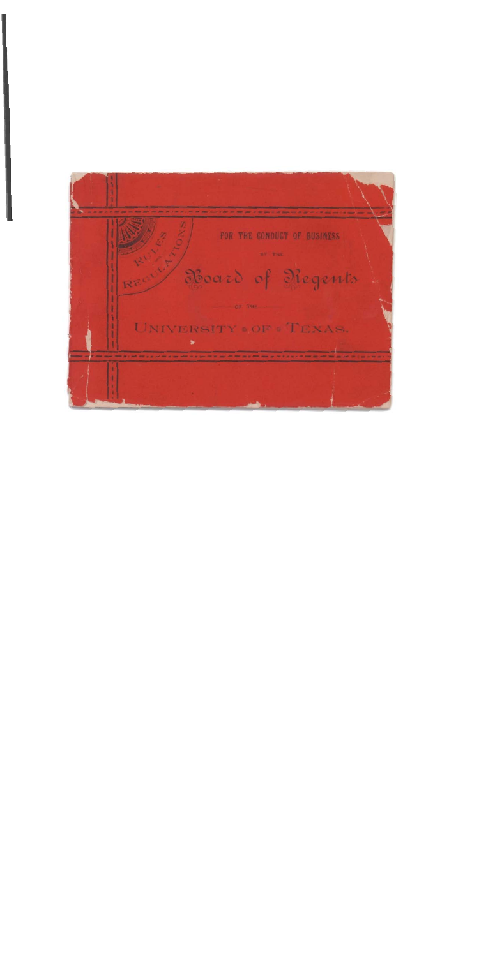FOR THE GONDUCT OF BUSINESS BY THE Board of Negents OF THE UNIVERSITY . OF . TEXAS.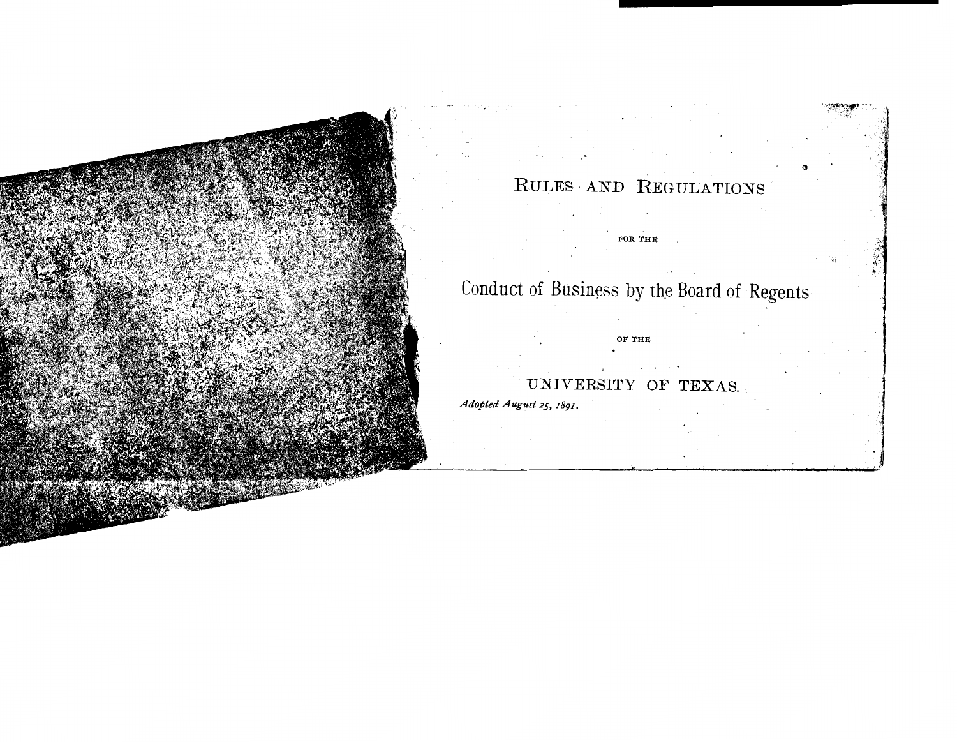

# Conduct of Business by the Board of Regents

OF THE

FOR THE

UNIVERSITY OF TEXAS.

Adopted August 25, 1891.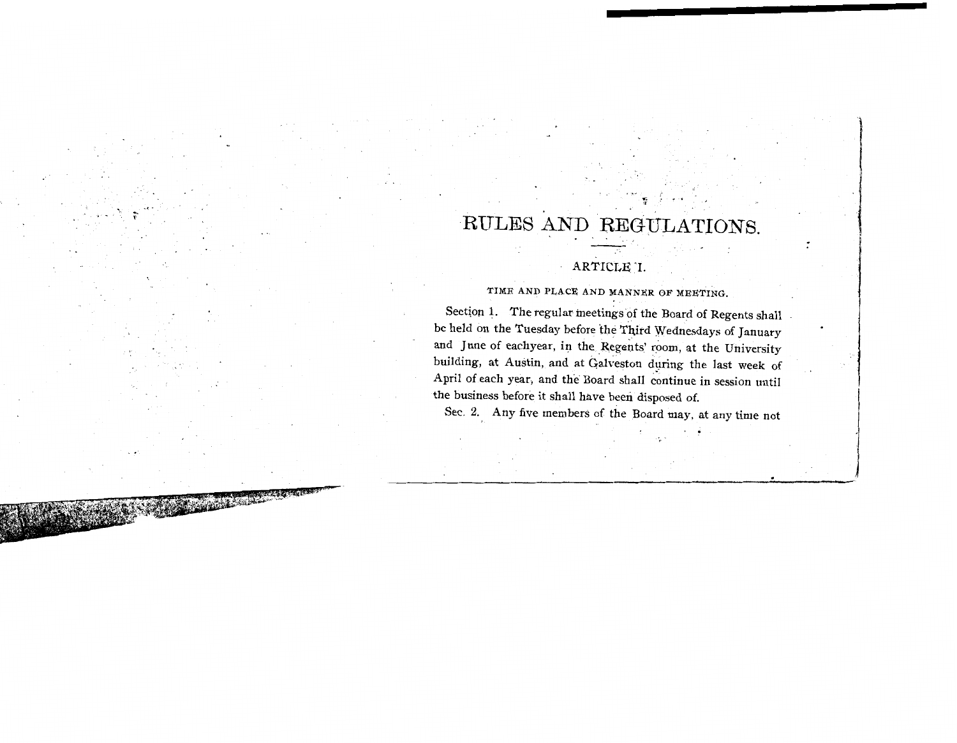# PUT THE AND REGULATIONS. REGUL<br>REGUL

#### ARTICLE 'I. **TIME AND PLACE AND MANNER OF M&ETING.**

TIME AND PLACE AND MANNER OF MEETING.

Section 1. The regular meetings of the Board of Regents shall be held on the Tuesday before the Third Wednesdays of January and June of eachyear, in the Regents' room, at the University building, at Austin, and at Galveston during the last week of pril of each year, and the Board shall continue in s the business before it shall have been disposed of.<br>Sec. 2. Any five members of the Board may, at any time not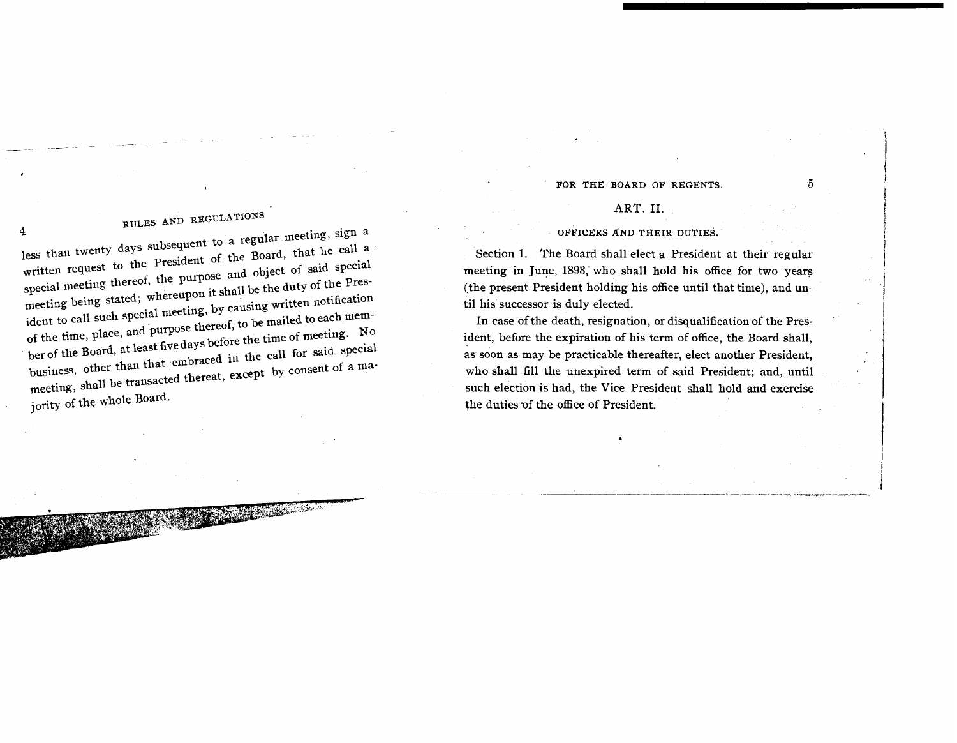#### FOR THE BOARD OF REGENTS.  $5$

RULES AND REGULATIONS **RULES AND REGULATIONS** less than twenty days subsequent to a regular meeting, sign a less than twenty days subsequent to a regular meeting, e.g.<br>written request to the President of the Board, that he call a<br>written request to the President of the Board, that he call a written request to the President of the Board, that he is<br>special meeting thereof, the purpose and object of said special<br>special meeting thereof, the purpose and object of said special special meeting thereof, the purpose and object of sale -1<br>special meeting thereof, the purpose and object of sale -1<br>meeting being stated; whereupon it shall be the duty of the Presmeeting being stated; whereupon it shall be the duty of the 2-<br>ident to call such special meeting, by causing written notification<br>dent to call such appecial meeting, by causing written notification ident to call such special meeting, by causing written not<br>of the time, place, and purpose thereof, to be mailed to each mem-<br>of the time, place, and purpose thereof, to be mailed to each memof the time, place, and purpose thereof, to be mailed to call<br>ber of the Board, at least five days before the time of meeting. No<br>ber of the Board, at least five days before the time of meeting. business, other than that embraced in the call for said special<br>meeting, shall be transacted thereat, except by consent of a majority of **the whole** Board.

#### **ART.** 11.

#### **OFFICERS AND THEIR DUTIES.**

Section 1. The Board shall elect a President at their regular meeting in June, 1893, who shall hold his office for two years (the present President holding his office until that time), and until his successor is duly elected.

In case of the death, resignation, or disqualification of the President, before the expiration of his term of office, the Board shall, as soon as may be practicable thereafter, elect another President, who shall fill the unexpired term of said President; and, until such election is had, the Vice President shall hold and exercise the duties of the office of President.

i!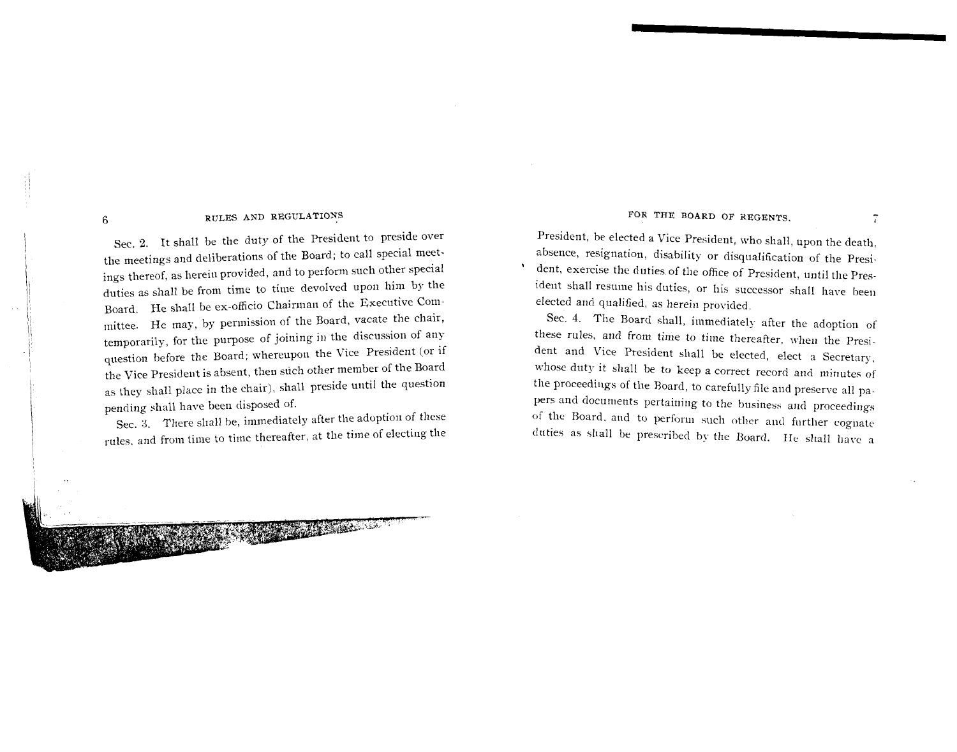Sec. 2. It shall be the duty of the President to preside over the meetings and deliberations of the Board; to call special meetings thereof, as herein provided, and to perform such other special duties as shall be from time to time devolved upon him by the Board. He shall be ex-officio Chairman of the Executive Committee. He may, by permission of the Board, vacate the chair, temporarily, for the purpose of joining in the discussion of any question before the Board; whereupon the Vice President (or if the Vice President is absent, then such other member of the Board as they shall place in the chair), shall preside until the question pending shall have been disposed of.

Sec. 3. There shall be, immediately after the adoption of these rules, and from time to time thereafter, at the time of electing the

NA SALAMAN TA

#### FOR THE BOARD OF REGENTS.

President, be elected a Vice President, who shall, upon the death. absence, resignation, disability or disqualification of the Presi dent, exercise the duties of the office of President, until the President shall resume his duties, or his successor shall have been elected and qualified, as herein provided.

Sec. 4. The Board shall, immediately after the adoption of these rules, and from time to time thereafter. when the President and Vice President shall be elected, elect a Secretary, whose duty it shall be to keep a correct record and minutes of the proceedings of the Board, to carefully file and preserve all papers and documents pertaining to the business and proceedings of the Board, and to perform such other and further cognate duties as shall be prescribed by the Board. He shall have a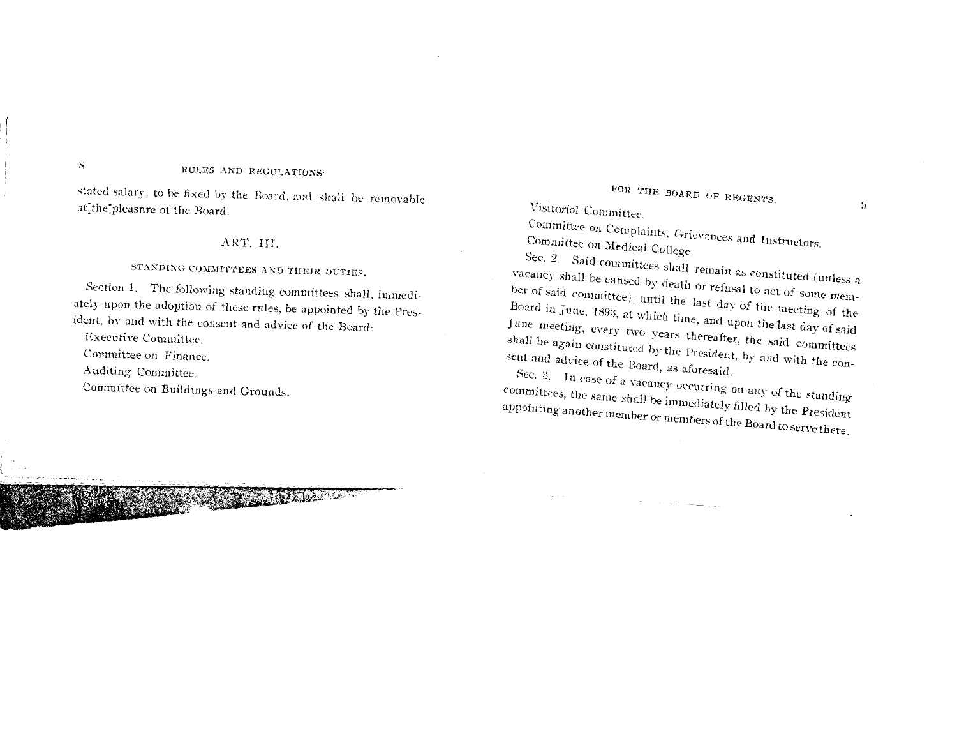stated salary, to be fixed by the Board, and shall be removable at the pleasure of the Board.

#### ART. III.

## STANDING COMMITTEES AND THEIR DUTIES.

Section 1. The following standing committees shall, immediately upon the adoption of these rules, be appointed by the President, by and with the consent and advice of the Board:

**AND AND AND ADDRESS** 

Executive Committee.

 $S_{\rm{c}}$ 

Committee on Finance.

Auditing Committee.

Committee on Buildings and Grounds.

## FOR THE BOARD OF REGENTS.

Visitorial Committee.

Committee on Complaints, Grievances and Instructors. Committee on Medical College.

Sec. 2. Said committees shall remain as constituted (unless a vacancy shall be caused by death or refusal to act of some member of said committee), until the last day of the meeting of the Board in Juue, 1893, at which time, and upon the last day of said June meeting, every two years thereafter, the said committees shall be again constituted by the President, by and with the consent and advice of the Board, as aforesaid.

Sec. 3. In case of a vacancy occurring on any of the standing committees, the same shall be immediately filled by the President appointing another member or members of the Board to serve there.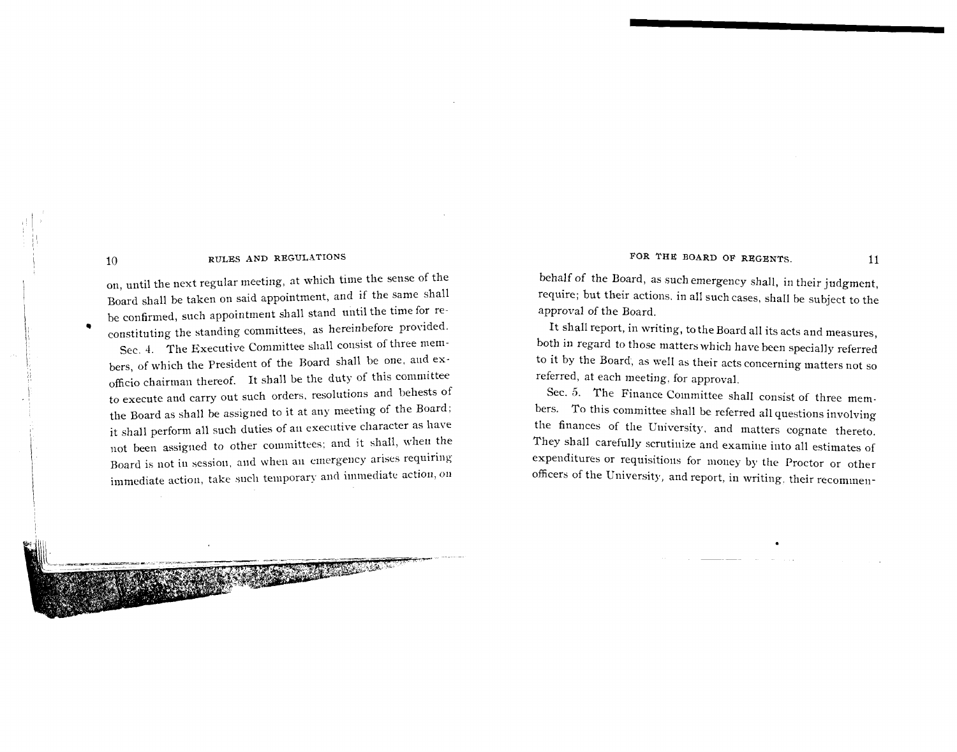on, until the next regular meeting, at which time the sense of the Board shall be taken on said appointment, and if the same shall be confirmed, such appointment shall stand until the time for reconstituting the standing committees, as hereinbefore provided. Sec. 4. The Executive Committee shall consist of three members, of which the President of the Board shall be one, aud exofficio chairman thereof. It shall be the duty of this committee to execute and carry out such orders. resolutions and behests of the Board as shall be assigned to it at any meeting of the Board; it shall perform all such duties of ail executive character as have not been assigned to other committees; and it shall, when the Board is not in session, and when an emergency arises requiring immediate action, take such temporary and immediate action, on

#### FOR THE BOARD OF REGENTS. 11

behalf of the Board, as such emergency shall, in their judgment, require; but their actions, in all such cases, shall be subject to the approval of the Board.

It shall report, in writing, to the Board all its acts and measures, both in regard to those matters which have been specially referred to it by the Board, as well as their acts concerning matters not so referred, at each meeting, for approval.

Sec. 5. The Finance Committee shall consist of three members. To this committee shall be referred all questions involving the finances of the Uuiversity, and matters cognate thereto. They shall carefully scrutinize and examine into all estimates of expenditures or requisitions for money by the Proctor or other officers of the University, and report, in writing, their recommen-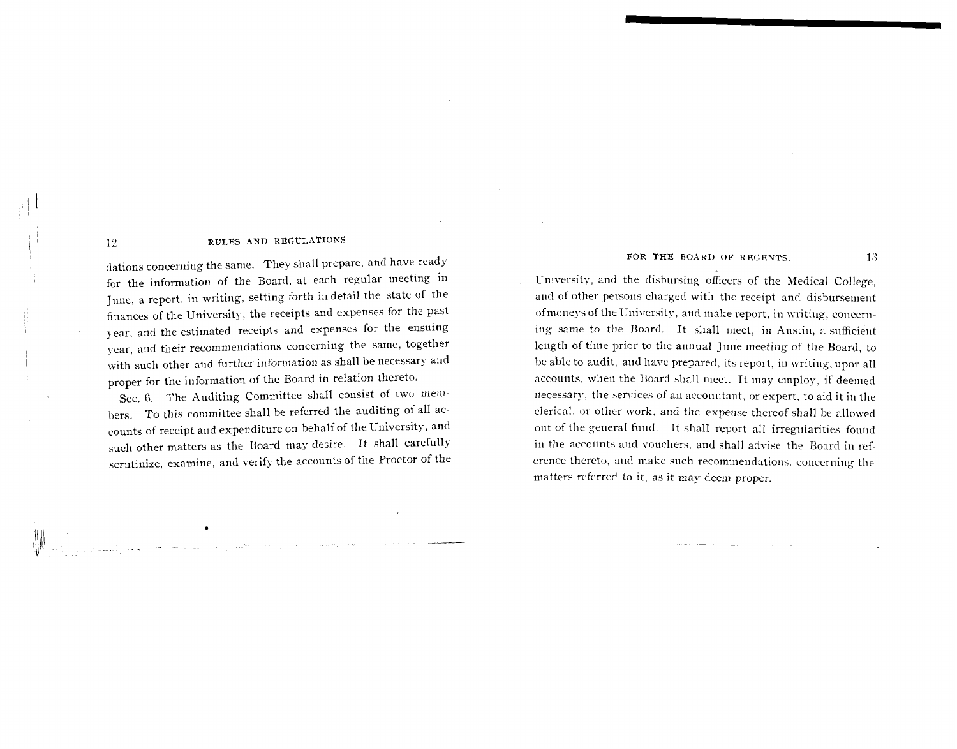12

dations concerning the same. They shall prepare, and have ready for the information of the Board, at each regular meeting in June, a report, in writing, setting forth in detail the state of the finances of the University, the receipts and expenses for the past year, and the estimated receipts and expenses for the ensuing year, and their recommendations concerning the same, together with such other and further information as shall be necessary and proper for the information of the Board in relation thereto.

Sec. 6. The Auditing Committee shall consist of two members. To this committee shall be referred the auditing of all accounts of receipt and expenditure on behalf of the University, and such other matters as the Board may desire. It shall carefully scrutinize, examine, and verify the accounts of the Proctor of the

#### FOR THE BOARD OF REGENTS. 13

University, and the disbursing officers of the Medical College. and of other persons charged with the receipt and disbursement ofmoneys of the University, aid make report, in writing, concerning same to the Board. It shall meet, in Austin, a sufficient length of time prior to the annual June meeting of the Board, to be able to audit, and have prepared, its report, in writing, upon all accounts, when the Board shall meet. It may employ, if deemed necessary, the services of an accountant, or expert, to aid it in the clerical, or other work, and the expense thereof shall be allowed out of the general fund. It shall report all irregularities found in the accolmts and vouchers, and shall advise the Board in reference thereto, and make such recommendations, concerning the matters referred to it, as it may deem proper.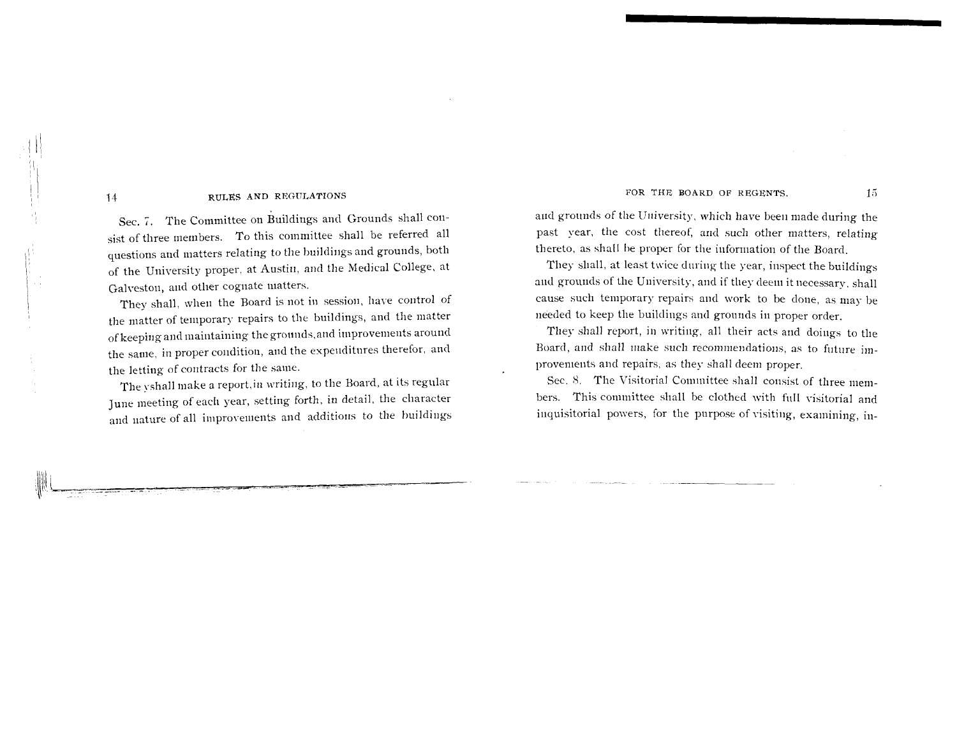Sec. 7. The Committee on Buildings and Grounds shall consist of three members. To this committee shall be referred all questions and matters relating to the buildings and grounds, both of the University proper, at Austin, and the Medical College, at Galveston, and other cognate matters.

They shall, when the Board is not in session, have control of the matter of temporary repairs to the buildings, and the matter of keeping and maintaining the grounds, and improvements around the same, in proper condition, and the expenditures therefor, and the letting of contracts for the same.

The yshall make a report, in writing, to the Board, at its regular June meeting of each year, setting forth, in detail, the character and nature of all improvements and additions to the buildings FOR THE BOARD OF REGENTS. 15

and grounds of the University, which have been made during the past year, the cost thereof, and such other matters, relating thereto, as shall be proper for the information of the Board.

They shall, at least twice during the year, inspect the buildings and grounds of the University, and if they deem it necessary, shall cause such temporary repairs and work to be done, as may be needed to keep the buildings and grounds in proper order.

They shall report, in writing, all their acts and doings to the Board, and shall make such recommendations, as to future improvements and repairs, as they shall deem proper.

Sec. 8. The Visitorial Committee shall consist of three members. This committee shall be clothed with full visitorial and inquisitorial powers, for the purpose of visiting, examining, in-

I I

I '

I '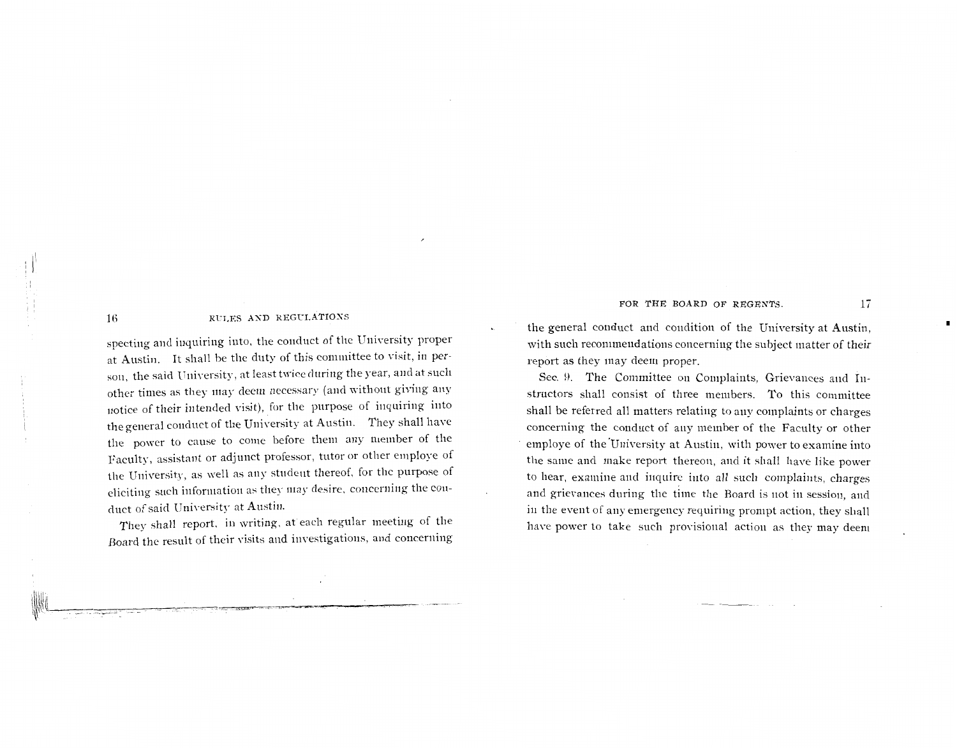specting and inquiring into, the conduct of the University proper at Austin. It shall be the duty of this committee to visit, in person, the said University, at least twice during the year, and at such other times as they may deem necessary (and without giving any notice of their intended visit), for the purpose of inquiring into the general conduct of the University at Austin. They shall have the power to cause to come before them any niemher of the Faculty, assistant or adjunct professor, tutor or other employe of the University, as well as any student thereof, for the purpose of eliciting such information as they may desire, concerning the conduct of said University at Austin.

They shall report, in writing, at each regular meeting of the Board the result of their visits and investigations, and concerning

#### FOR THE BOARD OF REGENTS. 17

the general conduct and condition of the University at Austin, with such recommendations concerning the subject matter of their report as they may deem proper.

Sec. 9. The Committee on Complaints, Grievances and Instructors shall consist of three members. To this committee shall be referred all matters relating to any complaints or charges concerning the conduct of any member of the Faculty or other employe of the University at Austin, with power to examine into the same and make report thereon, aid it shall have like power to hear, examine and inquire into all such complaints, charges and grievances during the time the Board is not in session, and in the event of any emergency requiring prompt action, they shall have power to take such provisional action as they may deem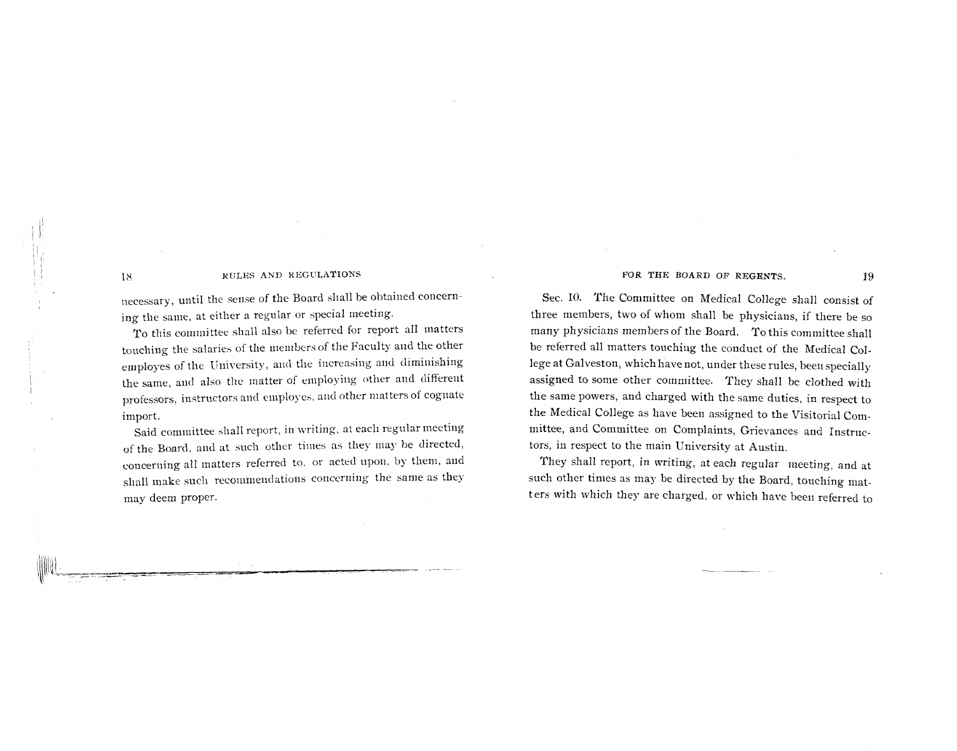necessary, until the sense of the Board shall be obtained concerning the same, at either a regular or special meeting.

To this committee shall also be referred for report all matters touching the salaries of the members of the Faculty and the other employes of the University, and the increasing and diminishing the same, and also the matter of employing other and differeut professors, instructors and eniployes, and other matters of cognate import.

Said committee shall report, in writing, at each regular meeting of the Board, and at such other times as they may be directed, concerning all matters referred to, or acted upon, by them, and shall make such recommendations concerning the same as they may deem proper.

#### FOR THE BOARD OF REGENTS. 19

Sec. 10. The Committee on Medical College shall consist of three members, two of whom shall be physicians, if there be so many physicians members of the Board. To this committee shall be referred all matters touching the conduct of the Medical College at Galveston, which have not, under these rules, been specially assigned to some other committee. They shall be clothed with the same powers, and charged with the same duties, in respect to the Medical College as have been assigned to the Visitorial Committee, and Committee on Complaints, Grievances and Instructors, in respect to the main University at Austin.

They shall report, in writing, at each regular meeting, and at such other times as may be directed by the Board, touching matters with which they are charged, or which have been referred to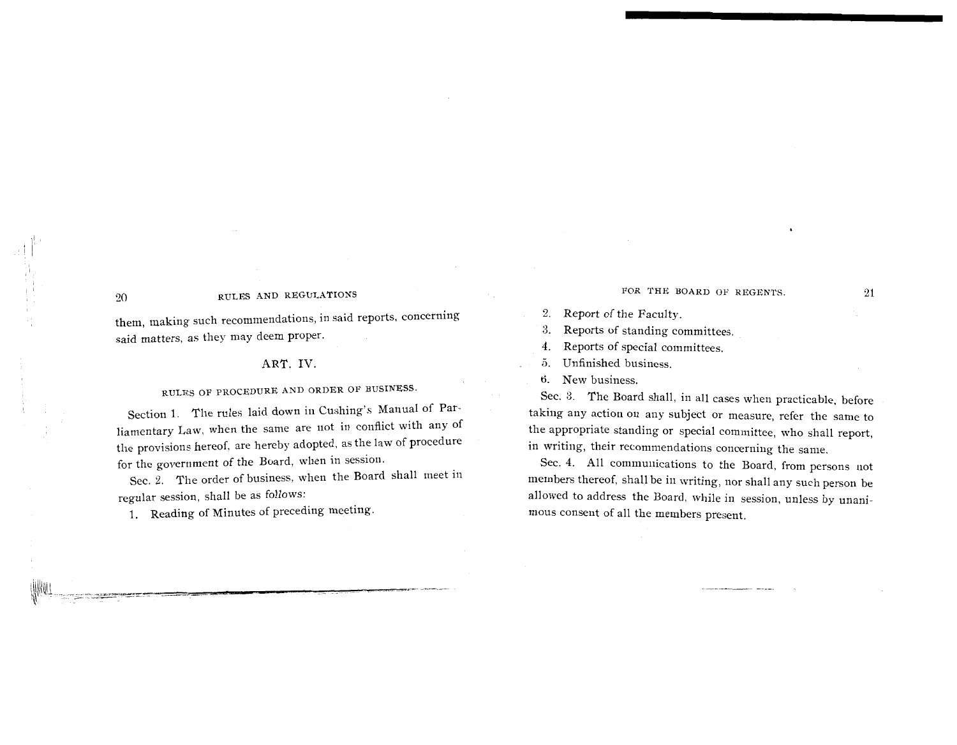them, making such recommendations. in said reports. concerning said matters, as they may deem proper.

#### ART. IV

## RULES OF PROCEDURE AND ORDER OF BUSINESS.

Section 1. The rules laid down in Cushing's Manual of Parliamentary Law, when the same are not in conflict with any of the provisions hereof, are hereby adopted, as the law of procedure for the government of the Board, when in sessiorl.

Sec. 2. The order of business, when the Board shall meet in regular session, shall be as follows:

1. Reading of Minutes of preceding meeting

#### FOR THE BOARD OF REGENTS. 21

#### 2. Report of the Faculty.

**3.** Reports of standing committees.

4. Reports of special committees.

5, Unfinished business.

6. New business.

Sec. **3.** The Board shall, in all cases when practicable, before taking any action on any subject or measure, refer the same to the appropriate standing or special committee, who shall report, in writing, their recommendations concerning the same.

Sec. 4. All communications to the Board, from persons not members thereof, shall be in writing, nor shall any such person be allowed to address the Board, while in session, unless by unanimous consent of all the members present.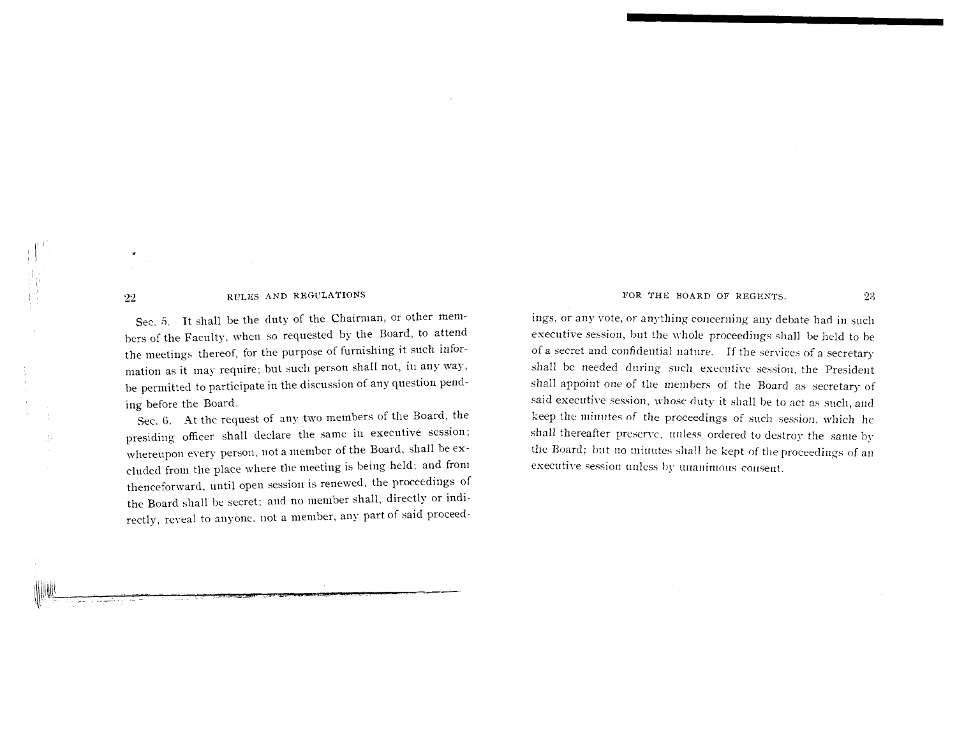Sec. 5. It shall he the duty of the Chairman, or other members of the Faculty, when so requested by the Board, to attend the meetings thereof, for the purpose of furnishing it such information as it may require; but such person shall not, in any way, be permitted to participate in the discussion of any question pending before the Board.

Sec. 6. At the request of any two members of the Board, the presiding officer shall declare the same in executive session; whereupon every person, not a member of the Board, shall be excluded from the place where the meeting is being held; and from thenceforward, until open session is renewed, the proceedings of the Board shall be secret; and no member shall, directly or indirectly, reveal to anyone, not a member, any part of said proceedFOR THE BOARD OF REGENTS. 23

ings, or any vote, or anything concerning any debate had in such executive session, but the whole proceedings shall be held to be of a secret and confidential nature. If the services of a secretary shall be needed during such executive session, the President shall appoint one of the members of the Board as secretary of said executive session, whose duty it shall be to act as such, and keep the minutes of the proceedings of such session, which he shall thereafter preserve, unless ordered to destroy the same by the Board; but no minutes shall be kept of the proceedings of an executive session unless by unanimous consent.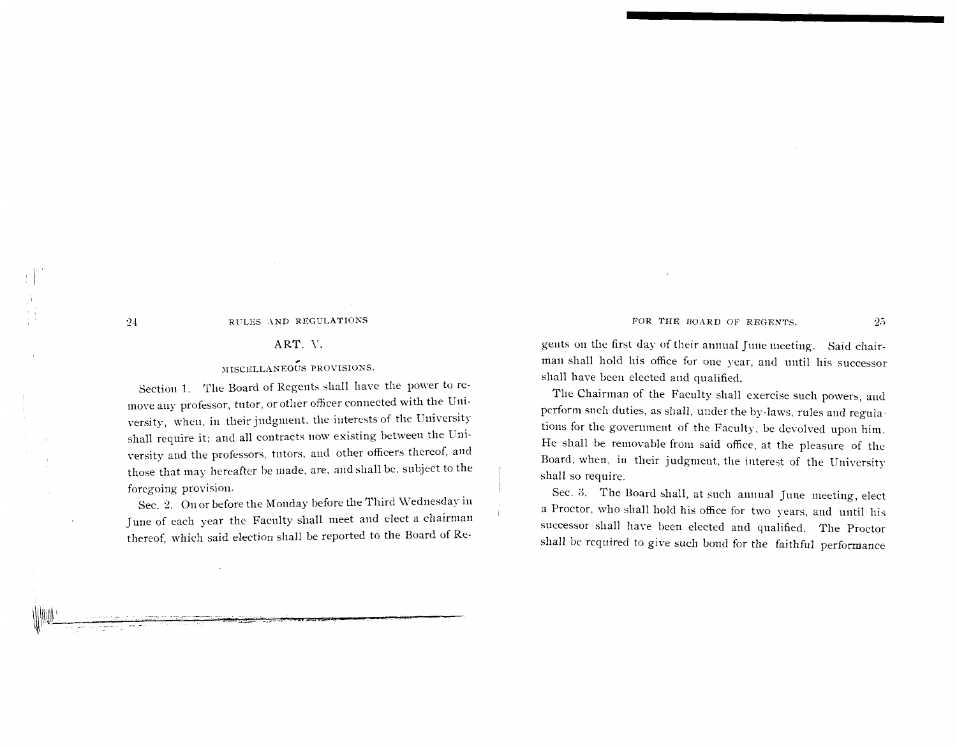#### ART. V.

#### MISCELLANEOUS PROVISIONS.

Section 1. The Board of Regents shall have the power to remove any professor, tutor, or other officer connected with the University, when, in their judgment, the interests of the University shall require it; and all contracts now existing between the University and the professors, tutors, and other officers thereof, and those that may hereafter be made, are, and shall be, subject to the foregoing provision.

Sec. 2. On or before the Monday before the Third Wednesday in June of each year the Faculty shall meet and elect a chairman thereof, which said election shall be reported to the Board of Regents on the first day of their annual June meeting. Said chairman shall hold his office for one year, and until his successor shall have been elected and qualified.

FOR THE BOARD OF REGENTS.

The Chairman of the Faculty shall exercise such powers, and perform such duties, as shall, under the by-laws, rules and regulations for the government of the Faculty, be devolved upon him. He shall be removable from said office, at the pleasure of the Board, when, in their judgment, the interest of the University shall so require.

Sec. 3. The Board shall, at such annual June meeting, elect a Proctor, who shall hold his office for two years, and until his successor shall have been elected and qualified. The Proctor shall be required to give such bond for the faithful performance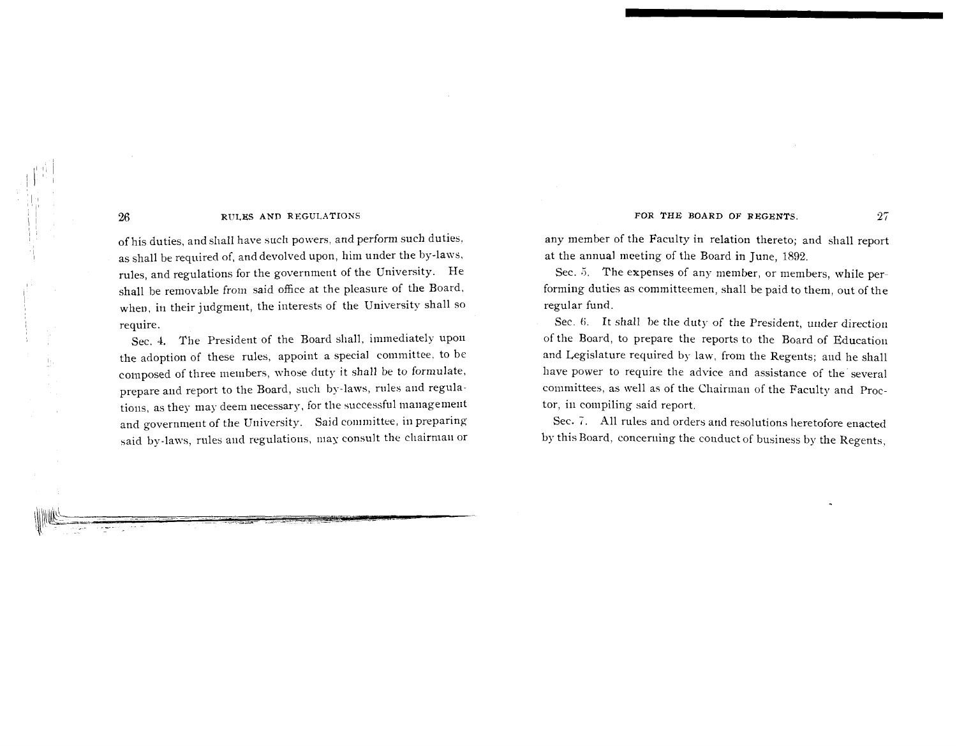of his duties, and shall have such powers, and perform such duties, as shall be required of, and devolved upon, him under the by-laws, rules, and regulations for the government of the University. He shall be removable from said office at the pleasure of the Board. when, in their judgment, the interests of the University shall so require.

Sec. 4. The President of the Board shall, immediately upon the adoption of these rules, appoint a special committee, to be composed of three members, whose duty it shall be to formulate, prepare and report to the Board, such by-laws, rules and regulations, as they may deem necessary, for the successful management and government of the University. Said committee, in preparing said by-laws, rules and regulations, may consult the chairman or any member of the Faculty in relation thereto; and shall report at the annual meeting of the Board in June, 1892.

Sec. 5. The expenses of any member, or members, while performing duties as committeemen, shall be paid to them, out of the regular fund.

Sec. 6. It shall be the duty of the President, under direction of the Board, to prepare the reports to the Board of Education and Legislature required by law, from the Regents; and he shall have power to require the advice and assistance of the'several committees, as well as of the Chairman of the Faculty and Proctor, in compiling said report.

Sec. *7.* All rules and orders and resolutions heretofore enacted by this Board, conceriiing the conduct of business by the Regents,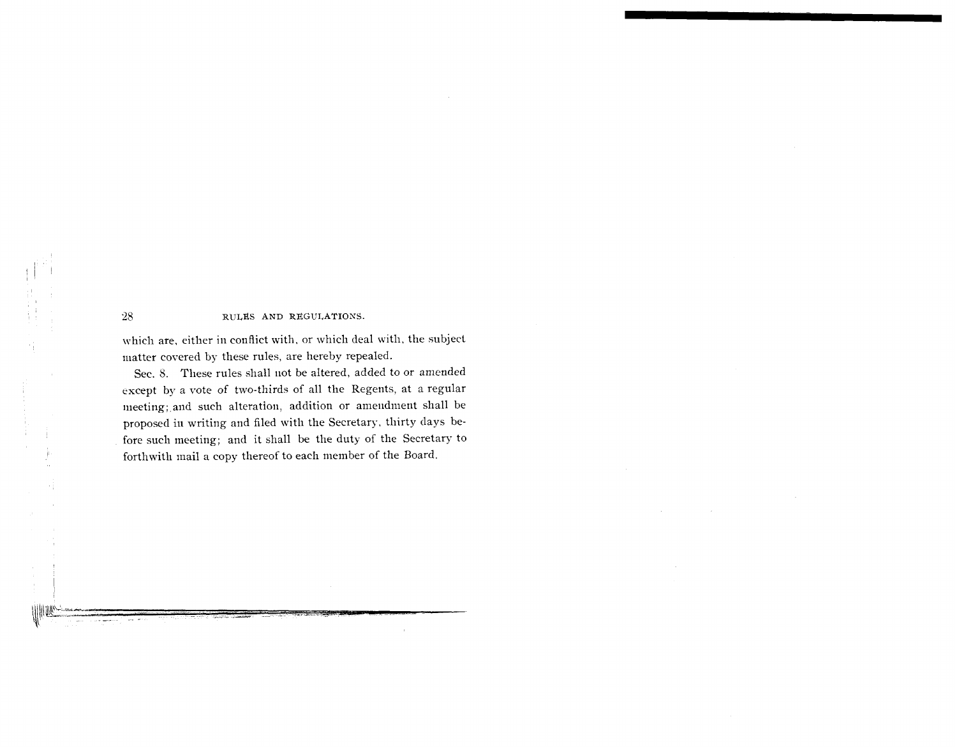which are, either in conflict with, or which deal with, the subject matter covered by these rules, are hereby repealed.

Sec. 8. These rules shall not be altered, added to or amended except by a vote of two-thirds of all the Regents, at a regular meeting; and such alteration, addition or amendment shall be proposed in writing and filed with the Secretary, thirty days before such meeting; and it shall be the duty of the Secretary to forthwitli mail a copy thereof to each member of the Board.

 $28\,$